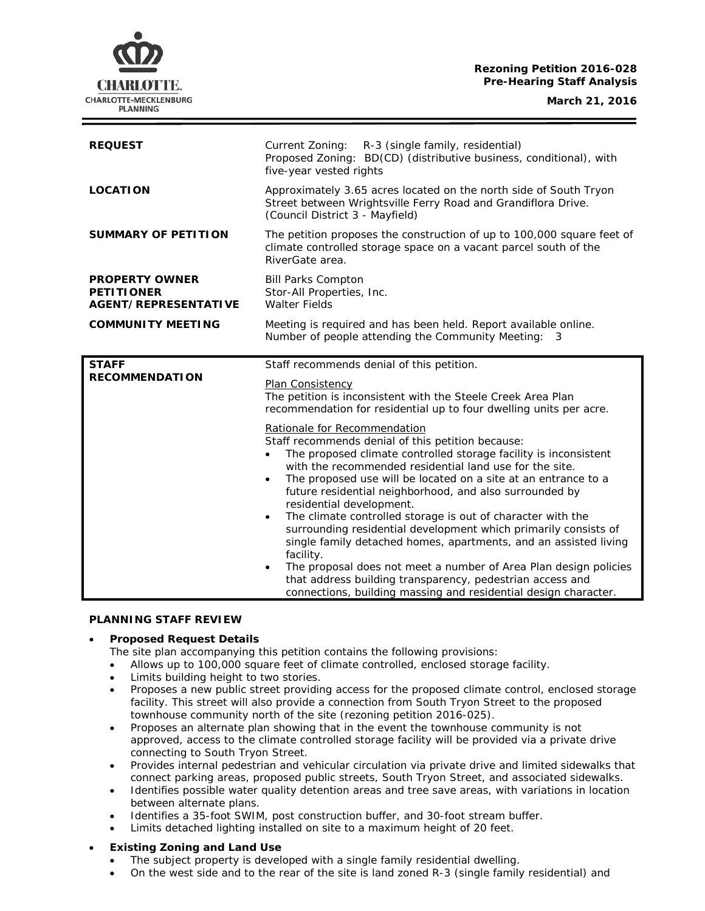# **Rezoning Petition 2016-028 Pre-Hearing Staff Analysis**

CHARLOTTE. CHARLOTTE-MECKLENBURG **PLANNING** 

**March 21, 2016**

| <b>REQUEST</b>                                                            | Current Zoning:<br>R-3 (single family, residential)<br>Proposed Zoning: BD(CD) (distributive business, conditional), with<br>five-year vested rights                                                                                                                                                                                                                                                                                                                                                                                                                                                                                                                                                                                                                                                                       |
|---------------------------------------------------------------------------|----------------------------------------------------------------------------------------------------------------------------------------------------------------------------------------------------------------------------------------------------------------------------------------------------------------------------------------------------------------------------------------------------------------------------------------------------------------------------------------------------------------------------------------------------------------------------------------------------------------------------------------------------------------------------------------------------------------------------------------------------------------------------------------------------------------------------|
| <b>LOCATION</b>                                                           | Approximately 3.65 acres located on the north side of South Tryon<br>Street between Wrightsville Ferry Road and Grandiflora Drive.<br>(Council District 3 - Mayfield)                                                                                                                                                                                                                                                                                                                                                                                                                                                                                                                                                                                                                                                      |
| <b>SUMMARY OF PETITION</b>                                                | The petition proposes the construction of up to 100,000 square feet of<br>climate controlled storage space on a vacant parcel south of the<br>RiverGate area.                                                                                                                                                                                                                                                                                                                                                                                                                                                                                                                                                                                                                                                              |
| <b>PROPERTY OWNER</b><br><b>PETITIONER</b><br><b>AGENT/REPRESENTATIVE</b> | <b>Bill Parks Compton</b><br>Stor-All Properties, Inc.<br><b>Walter Fields</b>                                                                                                                                                                                                                                                                                                                                                                                                                                                                                                                                                                                                                                                                                                                                             |
| <b>COMMUNITY MEETING</b>                                                  | Meeting is required and has been held. Report available online.<br>Number of people attending the Community Meeting: 3                                                                                                                                                                                                                                                                                                                                                                                                                                                                                                                                                                                                                                                                                                     |
| <b>STAFF</b>                                                              | Staff recommends denial of this petition.                                                                                                                                                                                                                                                                                                                                                                                                                                                                                                                                                                                                                                                                                                                                                                                  |
| <b>RECOMMENDATION</b>                                                     | Plan Consistency<br>The petition is inconsistent with the Steele Creek Area Plan<br>recommendation for residential up to four dwelling units per acre.                                                                                                                                                                                                                                                                                                                                                                                                                                                                                                                                                                                                                                                                     |
|                                                                           | Rationale for Recommendation<br>Staff recommends denial of this petition because:<br>The proposed climate controlled storage facility is inconsistent<br>with the recommended residential land use for the site.<br>The proposed use will be located on a site at an entrance to a<br>future residential neighborhood, and also surrounded by<br>residential development.<br>The climate controlled storage is out of character with the<br>$\bullet$<br>surrounding residential development which primarily consists of<br>single family detached homes, apartments, and an assisted living<br>facility.<br>The proposal does not meet a number of Area Plan design policies<br>$\bullet$<br>that address building transparency, pedestrian access and<br>connections, building massing and residential design character. |

# **PLANNING STAFF REVIEW**

# • **Proposed Request Details**

The site plan accompanying this petition contains the following provisions:

- Allows up to 100,000 square feet of climate controlled, enclosed storage facility.
- Limits building height to two stories.
- Proposes a new public street providing access for the proposed climate control, enclosed storage facility. This street will also provide a connection from South Tryon Street to the proposed townhouse community north of the site (rezoning petition 2016-025).
- Proposes an alternate plan showing that in the event the townhouse community is not approved, access to the climate controlled storage facility will be provided via a private drive connecting to South Tryon Street.
- Provides internal pedestrian and vehicular circulation via private drive and limited sidewalks that connect parking areas, proposed public streets, South Tryon Street, and associated sidewalks.
- Identifies possible water quality detention areas and tree save areas, with variations in location between alternate plans.
- Identifies a 35-foot SWIM, post construction buffer, and 30-foot stream buffer.
- Limits detached lighting installed on site to a maximum height of 20 feet.

# • **Existing Zoning and Land Use**

- The subject property is developed with a single family residential dwelling.
- On the west side and to the rear of the site is land zoned R-3 (single family residential) and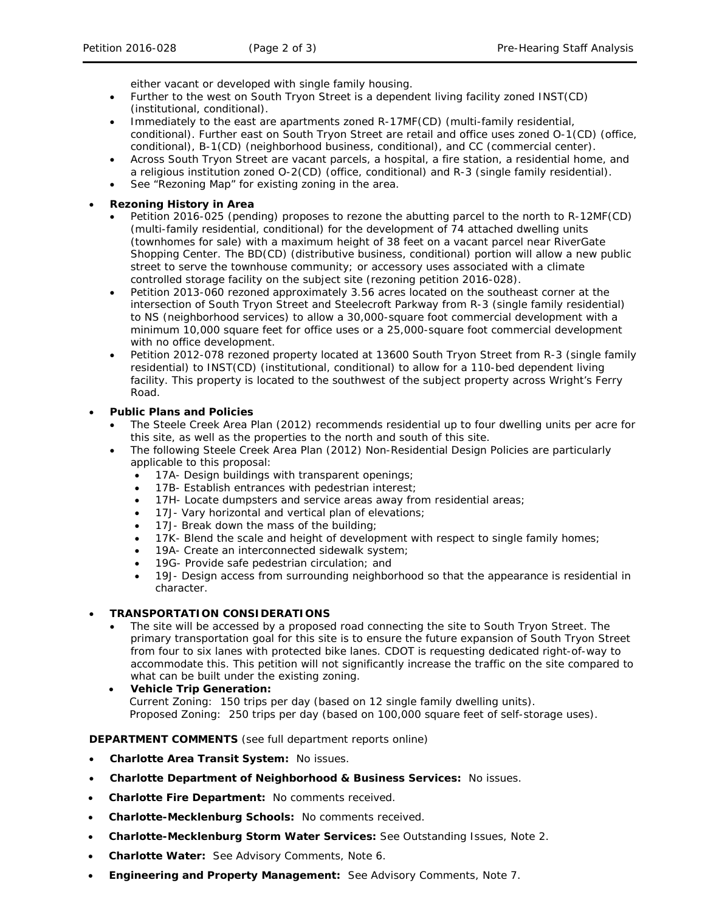either vacant or developed with single family housing.

- Further to the west on South Tryon Street is a dependent living facility zoned INST(CD) (institutional, conditional).
- Immediately to the east are apartments zoned R-17MF(CD) (multi-family residential, conditional). Further east on South Tryon Street are retail and office uses zoned O-1(CD) (office, conditional), B-1(CD) (neighborhood business, conditional), and CC (commercial center).
- Across South Tryon Street are vacant parcels, a hospital, a fire station, a residential home, and a religious institution zoned O-2(CD) (office, conditional) and R-3 (single family residential).
- See "Rezoning Map" for existing zoning in the area.
- **Rezoning History in Area**
	- Petition 2016-025 (pending) proposes to rezone the abutting parcel to the north to R-12MF(CD) (multi-family residential, conditional) for the development of 74 attached dwelling units (townhomes for sale) with a maximum height of 38 feet on a vacant parcel near RiverGate Shopping Center. The BD(CD) (distributive business, conditional) portion will allow a new public street to serve the townhouse community; or accessory uses associated with a climate controlled storage facility on the subject site (rezoning petition 2016-028).
	- Petition 2013-060 rezoned approximately 3.56 acres located on the southeast corner at the intersection of South Tryon Street and Steelecroft Parkway from R-3 (single family residential) to NS (neighborhood services) to allow a 30,000-square foot commercial development with a minimum 10,000 square feet for office uses or a 25,000-square foot commercial development with no office development.
	- Petition 2012-078 rezoned property located at 13600 South Tryon Street from R-3 (single family residential) to INST(CD) (institutional, conditional) to allow for a 110-bed dependent living facility. This property is located to the southwest of the subject property across Wright's Ferry Road.

# • **Public Plans and Policies**

- The *Steele Creek Area Plan* (2012) recommends residential up to four dwelling units per acre for this site, as well as the properties to the north and south of this site.
- The following Steele Creek Area Plan (2012) Non-Residential Design Policies are particularly applicable to this proposal:
	- 17A- Design buildings with transparent openings;
	- 17B- Establish entrances with pedestrian interest;
	- 17H- Locate dumpsters and service areas away from residential areas;
	- 17J- Vary horizontal and vertical plan of elevations;
	- 17J- Break down the mass of the building;
	- 17K- Blend the scale and height of development with respect to single family homes;
	- 19A- Create an interconnected sidewalk system;
	- 19G- Provide safe pedestrian circulation; and
	- 19J- Design access from surrounding neighborhood so that the appearance is residential in character.

# • **TRANSPORTATION CONSIDERATIONS**

- The site will be accessed by a proposed road connecting the site to South Tryon Street. The primary transportation goal for this site is to ensure the future expansion of South Tryon Street from four to six lanes with protected bike lanes. CDOT is requesting dedicated right-of-way to accommodate this. This petition will not significantly increase the traffic on the site compared to what can be built under the existing zoning.
- **Vehicle Trip Generation:** Current Zoning: 150 trips per day (based on 12 single family dwelling units). Proposed Zoning: 250 trips per day (based on 100,000 square feet of self-storage uses).

# **DEPARTMENT COMMENTS** (see full department reports online)

- **Charlotte Area Transit System:** No issues.
- **Charlotte Department of Neighborhood & Business Services:** No issues.
- **Charlotte Fire Department:** No comments received.
- **Charlotte-Mecklenburg Schools:** No comments received.
- **Charlotte-Mecklenburg Storm Water Services:** See Outstanding Issues, Note 2.
- **Charlotte Water:** See Advisory Comments, Note 6.
- **Engineering and Property Management:** See Advisory Comments, Note 7.